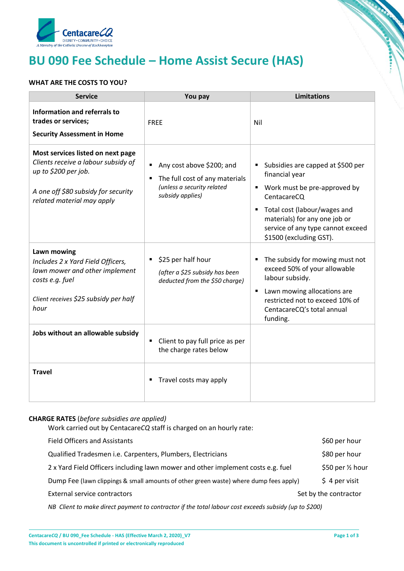

# **BU 090 Fee Schedule – Home Assist Secure (HAS)**

## **WHAT ARE THE COSTS TO YOU?**

| <b>Service</b>                                                                                                                                                        | You pay                                                                                                       | <b>Limitations</b>                                                                                                                                                                                                                    |
|-----------------------------------------------------------------------------------------------------------------------------------------------------------------------|---------------------------------------------------------------------------------------------------------------|---------------------------------------------------------------------------------------------------------------------------------------------------------------------------------------------------------------------------------------|
| <b>Information and referrals to</b><br>trades or services;<br><b>Security Assessment in Home</b>                                                                      | <b>FREE</b>                                                                                                   | Nil                                                                                                                                                                                                                                   |
| Most services listed on next page<br>Clients receive a labour subsidy of<br>up to \$200 per job.<br>A one off \$80 subsidy for security<br>related material may apply | Any cost above \$200; and<br>The full cost of any materials<br>(unless a security related<br>subsidy applies) | Subsidies are capped at \$500 per<br>financial year<br>■ Work must be pre-approved by<br>CentacareCQ<br>Total cost (labour/wages and<br>materials) for any one job or<br>service of any type cannot exceed<br>\$1500 (excluding GST). |
| Lawn mowing<br>Includes 2 x Yard Field Officers,<br>lawn mower and other implement<br>costs e.g. fuel<br>Client receives \$25 subsidy per half<br>hour                | \$25 per half hour<br>(after a \$25 subsidy has been<br>deducted from the \$50 charge)                        | The subsidy for mowing must not<br>exceed 50% of your allowable<br>labour subsidy.<br>Lawn mowing allocations are<br>$\blacksquare$<br>restricted not to exceed 10% of<br>CentacareCQ's total annual<br>funding.                      |
| Jobs without an allowable subsidy                                                                                                                                     | Client to pay full price as per<br>٠<br>the charge rates below                                                |                                                                                                                                                                                                                                       |
| <b>Travel</b>                                                                                                                                                         | Travel costs may apply                                                                                        |                                                                                                                                                                                                                                       |

### **CHARGE RATES** (*before subsidies are applied)*

Work carried out by Centacare*CQ* staff is charged on an hourly rate:

| <b>Field Officers and Assistants</b>                                                  | \$60 per hour         |
|---------------------------------------------------------------------------------------|-----------------------|
| Qualified Tradesmen i.e. Carpenters, Plumbers, Electricians                           | \$80 per hour         |
| 2 x Yard Field Officers including lawn mower and other implement costs e.g. fuel      | \$50 per 1/2 hour     |
| Dump Fee (lawn clippings & small amounts of other green waste) where dump fees apply) | $$4$ per visit        |
| <b>External service contractors</b>                                                   | Set by the contractor |
|                                                                                       |                       |

*NB Client to make direct payment to contractor if the total labour cost exceeds subsidy (up to \$200)*

**CONTRACTOR** 

**Concomment**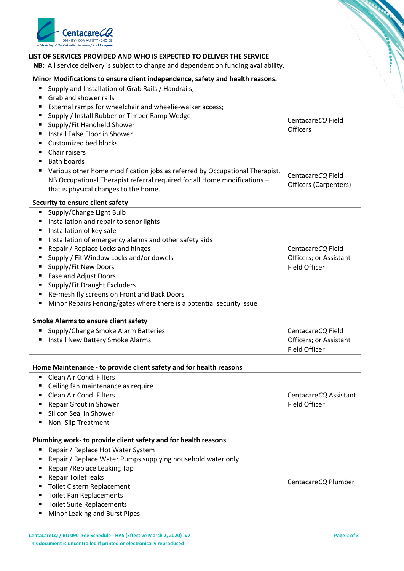

#### **LIST OF SERVICES PROVIDED AND WHO IS EXPECTED TO DELIVER THE SERVICE**

 **NB:** All service delivery is subject to change and dependent on funding availability**.**

#### **Minor Modifications to ensure client independence, safety and health reasons.**

| Supply and Installation of Grab Rails / Handrails;<br>٠                          |                       |  |
|----------------------------------------------------------------------------------|-----------------------|--|
| Grab and shower rails                                                            |                       |  |
| External ramps for wheelchair and wheelie-walker access;                         |                       |  |
| Supply / Install Rubber or Timber Ramp Wedge                                     | CentacareCQ Field     |  |
| Supply/Fit Handheld Shower                                                       | <b>Officers</b>       |  |
| Install False Floor in Shower                                                    |                       |  |
| Customized bed blocks                                                            |                       |  |
| Chair raisers                                                                    |                       |  |
| Bath boards                                                                      |                       |  |
| Various other home modification jobs as referred by Occupational Therapist.<br>٠ | CentacareCQ Field     |  |
| NB Occupational Therapist referral required for all Home modifications -         | Officers (Carpenters) |  |
| that is physical changes to the home.                                            |                       |  |
| <b>Security to ensure client safety</b>                                          |                       |  |
| Supply/Change Light Bulb<br>٠                                                    |                       |  |
| Installation and repair to senor lights                                          |                       |  |
| Installation of key safe                                                         |                       |  |
| Installation of emergency alarms and other safety aids                           |                       |  |

■ Repair / Replace Locks and hinges ■ Supply / Fit Window Locks and/or dowels **Supply/Fit New Doors** ■ Ease and Adjust Doors ■ Supply/Fit Draught Excluders ■ Re-mesh fly screens on Front and Back Doors **Minor Repairs Fencing/gates where there is a potential security issue** Centacare*CQ* Field Officers; or Assistant Field Officer

#### **Smoke Alarms to ensure client safety**

| ■ Supply/Change Smoke Alarm Batteries | CentacareCQ Field      |
|---------------------------------------|------------------------|
| Install New Battery Smoke Alarms      | Officers; or Assistant |
|                                       | Field Officer          |

**Home Maintenance - to provide client safety and for health reasons**

| • Clean Air Cond. Filters            |                       |
|--------------------------------------|-----------------------|
| • Ceiling fan maintenance as require |                       |
| • Clean Air Cond. Filters            | CentacareCQ Assistant |
| ■ Repair Grout in Shower             | Field Officer         |
| • Silicon Seal in Shower             |                       |
| • Non-Slip Treatment                 |                       |

| Plumbing work- to provide client safety and for health reasons |                     |  |
|----------------------------------------------------------------|---------------------|--|
| Repair / Replace Hot Water System                              |                     |  |
| Repair / Replace Water Pumps supplying household water only    |                     |  |
| Repair / Replace Leaking Tap                                   |                     |  |
| Repair Toilet leaks                                            |                     |  |
| Toilet Cistern Replacement                                     | CentacareCQ Plumber |  |
| <b>Toilet Pan Replacements</b>                                 |                     |  |
| <b>Toilet Suite Replacements</b>                               |                     |  |
| Minor Leaking and Burst Pipes                                  |                     |  |

**CONTRACTOR** 

**Consequence**